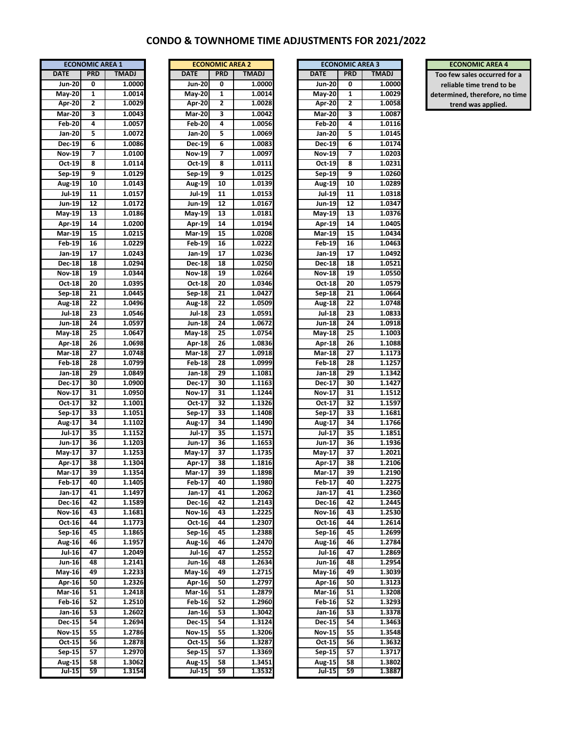## **CONDO & TOWNHOME TIME ADJUSTMENTS FOR 2021/2022**

| <b>ECONOMIC AREA 1</b>     |                 |              |  |  |  |  |  |
|----------------------------|-----------------|--------------|--|--|--|--|--|
| <b>DATE</b>                | <b>PRD</b>      | <b>TMADJ</b> |  |  |  |  |  |
| <b>Jun-20</b>              | 0               | 1.0000       |  |  |  |  |  |
| $May-20$                   | 1               | 1.0014       |  |  |  |  |  |
| <b>Apr-20</b>              | 2               | 1.0029       |  |  |  |  |  |
| $Mar-20$                   | 3               | 1.0043       |  |  |  |  |  |
| $Feb-20$                   | 4               | 1.0057       |  |  |  |  |  |
|                            | 5               | 1.0072       |  |  |  |  |  |
| Jan-20                     |                 |              |  |  |  |  |  |
| $Dec-19$                   | 6               | 1.0086       |  |  |  |  |  |
| $Nov-19$                   | 7               | 1.0100       |  |  |  |  |  |
| $Oct-19$                   | 8               | 1.0114       |  |  |  |  |  |
| $Sep-19$                   | 9               | 1.0129       |  |  |  |  |  |
| Aug-19                     | 10              | 1.0143       |  |  |  |  |  |
| Jul-19                     | 11              | 1.0157       |  |  |  |  |  |
| Jun-19                     | 12              | 1.0172       |  |  |  |  |  |
| $May-19$                   | 13              | 1.0186       |  |  |  |  |  |
| <b>Apr-19</b>              | 14              | 1.0200       |  |  |  |  |  |
| Mar-19                     | 15              | 1.0215       |  |  |  |  |  |
| $Feb-19$                   | 16              | 1.0229       |  |  |  |  |  |
| Jan-19                     | 17              | 1.0243       |  |  |  |  |  |
| $Dec-18$                   | 18              | 1.0294       |  |  |  |  |  |
| <b>Nov-18</b>              | 19              | 1.0344       |  |  |  |  |  |
| Oct-18                     | 20              | 1.0395       |  |  |  |  |  |
|                            |                 |              |  |  |  |  |  |
| Sep-18                     | 21              | 1.0445       |  |  |  |  |  |
| Aug-18                     | $\overline{22}$ | 1.0496       |  |  |  |  |  |
| <b>Jul-18</b>              | 23              | 1.0546       |  |  |  |  |  |
| <b>Jun-18</b>              | 24              | 1.0597       |  |  |  |  |  |
| May-18                     | 25              | 1.0647       |  |  |  |  |  |
| $Apr-18$                   | 26              | 1.0698       |  |  |  |  |  |
| <b>Mar-18</b>              | 27              | 1.0748       |  |  |  |  |  |
| Feb $-18$                  | 28              | 1.0799       |  |  |  |  |  |
| Jan-18                     | 29              | 1.0849       |  |  |  |  |  |
| Dec $-17$                  | 30              | 1.0900       |  |  |  |  |  |
| Nov-17                     | 31              | 1.0950       |  |  |  |  |  |
| $Oct-17$                   | 32              | 1.1001       |  |  |  |  |  |
| $Sep-17$                   | 33              | 1.1051       |  |  |  |  |  |
| Aug-17                     | 34              | 1.1102       |  |  |  |  |  |
| Jul-17                     | 35              | 1.1152       |  |  |  |  |  |
| Jun-17                     | 36              | 1.1203       |  |  |  |  |  |
| $May-17$                   | 37              | 1.1253       |  |  |  |  |  |
|                            |                 |              |  |  |  |  |  |
| Apr-17                     | 38              | 1.1304       |  |  |  |  |  |
| <b>Mar-17</b>              | 39              | 1.1354       |  |  |  |  |  |
| <b>Feb-17</b>              | 40              | 1.1405       |  |  |  |  |  |
| Jan-17                     | 41              | 1.1497       |  |  |  |  |  |
| <b>Dec-16</b>              | 42              | 1.1589       |  |  |  |  |  |
| $\overline{\text{Nov }16}$ | 43              | 1.1681       |  |  |  |  |  |
| $Oct-16$                   | 44              | 1.1773       |  |  |  |  |  |
| $Sep-16$                   | 45              | 1.1865       |  |  |  |  |  |
| Aug-16                     | 46              | 1.1957       |  |  |  |  |  |
| $Jul-16$                   | 47              | 1.2049       |  |  |  |  |  |
| Jun-16                     | 48              | 1.2141       |  |  |  |  |  |
| $May-16$                   | 49              | 1.2233       |  |  |  |  |  |
| $Apr-16$                   | 50              | 1.2326       |  |  |  |  |  |
| <b>Mar-16</b>              | 51              | 1.2418       |  |  |  |  |  |
| Feb-16                     | 52              | 1.2510       |  |  |  |  |  |
| Jan-16                     | 53              | 1.2602       |  |  |  |  |  |
| Dec-15                     | 54              | 1.2694       |  |  |  |  |  |
| $\overline{\text{Nov-15}}$ | 55              | 1.2786       |  |  |  |  |  |
|                            |                 |              |  |  |  |  |  |
| Oct-15                     | 56              | 1.2878       |  |  |  |  |  |
| Sep $-15$                  | $\overline{57}$ | 1.2970       |  |  |  |  |  |
| Aug-15                     | 58              | 1.3062       |  |  |  |  |  |
| <b>Jul-15</b>              | 59              | 1.3154       |  |  |  |  |  |

|                            | <b>ECONOMIC AREA 2</b> |                  |  |  |  |  |
|----------------------------|------------------------|------------------|--|--|--|--|
| <b>DATE</b>                | <b>PRD</b>             | <b>TMADJ</b>     |  |  |  |  |
| $Jun-20$                   | 0                      | 1.0000           |  |  |  |  |
| May-20                     | 1                      | 1.0014           |  |  |  |  |
| Apr-20                     | 2                      | 1.0028           |  |  |  |  |
| <b>Mar-20</b>              | 3                      | 1.0042           |  |  |  |  |
| Feb $-20$                  | 4                      | 1.0056           |  |  |  |  |
| $Jan-20$                   | 5                      | 1.0069           |  |  |  |  |
| Dec-19                     | 6                      | 1.0083           |  |  |  |  |
| <b>Nov-19</b>              | 7                      | 1.0097           |  |  |  |  |
| Oct 19                     | 8                      | 1.0111           |  |  |  |  |
| Sep-19                     | 9                      | 1.0125           |  |  |  |  |
| Aug-19                     | 10                     | 1.0139           |  |  |  |  |
| <b>Jul-19</b>              | 11                     | 1.0153           |  |  |  |  |
| Jun-19                     | $\overline{12}$        | 1.0167           |  |  |  |  |
| May-19                     | 13                     | 1.0181           |  |  |  |  |
| Apr-19                     | 14                     | 1.0194           |  |  |  |  |
| Mar-19                     | 15                     | 1.0208           |  |  |  |  |
| Feb-19                     | 16                     | 1.0222           |  |  |  |  |
| Jan-19                     | 17                     | 1.0236           |  |  |  |  |
| <b>Dec-18</b>              | 18                     | 1.0250           |  |  |  |  |
| Nov-18                     | 19                     | 1.0264           |  |  |  |  |
| Oct-18                     | 20                     | 1.0346           |  |  |  |  |
| $Sep-18$                   | 21                     | 1.0427           |  |  |  |  |
| <b>Aug-18</b>              | 22                     | 1.0509           |  |  |  |  |
|                            | 23                     | 1.0591           |  |  |  |  |
| <b>Jul-18</b>              |                        |                  |  |  |  |  |
| Jun-18                     | 24<br>25               | 1.0672<br>1.0754 |  |  |  |  |
| May-18                     |                        |                  |  |  |  |  |
| Apr-18                     | 26                     | 1.0836           |  |  |  |  |
| Mar-18                     | 27                     | 1.0918           |  |  |  |  |
| <b>Feb 18</b>              | 28                     | 1.0999           |  |  |  |  |
| Jan-18                     | 29                     | 1.1081           |  |  |  |  |
| Dec-17                     | 30                     | 1.1163           |  |  |  |  |
| <b>Nov-17</b>              | 31                     | 1.1244           |  |  |  |  |
| Oct-17                     | 32                     | 1.1326           |  |  |  |  |
| Sep-17                     | 33                     | 1.1408           |  |  |  |  |
| Aug-17                     | 34                     | 1.149            |  |  |  |  |
| <b>Jul-17</b>              | 35                     | 1.1571           |  |  |  |  |
| Jun-17                     | 36                     | 1.1653           |  |  |  |  |
| May-17                     | 37                     | 1.1735           |  |  |  |  |
| Apr-17                     | 38                     | 1.1816           |  |  |  |  |
| Mar-17                     | 39                     | 1.1898           |  |  |  |  |
| Feb-17                     | 40                     | 1.1980           |  |  |  |  |
| $Jan-17$                   | 41                     | 1.2062           |  |  |  |  |
| <b>Dec-16</b>              | 42                     | 1.2143           |  |  |  |  |
| $Nov-16$                   | 43                     | 1.2225           |  |  |  |  |
| Oct-16                     | 44                     | 1.2307           |  |  |  |  |
| Sep-16                     | 45                     | 1.2388           |  |  |  |  |
| Aug-16                     | 46                     | 1.247            |  |  |  |  |
| <b>Jul-16</b>              | 47                     | 1.2552           |  |  |  |  |
| Jun-16                     | 48                     | 1.2634           |  |  |  |  |
| May-16                     | 49                     | 1.2715           |  |  |  |  |
| Apr-16                     | 50                     | 1.2797           |  |  |  |  |
| Mar-16                     | 51                     | 1.2879           |  |  |  |  |
| $Feb-16$                   | 52                     | 1.2960           |  |  |  |  |
| $Jan-16$                   | 53                     | 1.3042           |  |  |  |  |
| Dec-15                     | 54                     | 1.3124           |  |  |  |  |
| $\overline{\text{Nov-15}}$ | 55                     | 1.3206           |  |  |  |  |
| Oct-15                     | 56                     | 1.3287           |  |  |  |  |
| Sep-15                     | 57                     | 1.3369           |  |  |  |  |
| $\overline{\text{Aug-15}}$ | 58                     | 1.3451           |  |  |  |  |
| Jul-15                     | 59                     | 1.3532           |  |  |  |  |
|                            |                        |                  |  |  |  |  |

| ATE           | <b>PRD</b> | <b>TMADJ</b>     | <b>DATE</b>      | <b>PRD</b> | <b>TMADJ</b>        | <b>DATE</b>   | <b>PRD</b> | <b>TMADJ</b>     |
|---------------|------------|------------------|------------------|------------|---------------------|---------------|------------|------------------|
| <b>Jun-20</b> | 0          | 1.0000           | Jun-20           | 0          | 1.0000              | <b>Jun-20</b> | 0          | 1.0000           |
| May-20        | 1          | 1.0014           | May-20           | 1          | 1.0014              | May-20        | 1          | 1.0029           |
| Apr-20        | 2          | 1.0029           | Apr-20           | 2          | 1.0028              | Apr-20        | 2          | 1.0058           |
| <b>Mar-20</b> | 3          | 1.0043           | <b>Mar-20</b>    | 3          | 1.0042              | <b>Mar-20</b> | 3          | 1.0087           |
| <b>Feb 20</b> | 4          | 1.0057           | <b>Feb-20</b>    | 4          | 1.0056              | <b>Feb-20</b> | 4          | 1.0116           |
| Jan-20        | 5          | 1.0072           | Jan-20           | 5          | 1.0069              | Jan-20        | 5          | 1.0145           |
| Dec-19        | 6          | 1.0086           | Dec-19           | 6          | 1.0083              | Dec-19        | 6          | 1.0174           |
| <b>Nov-19</b> | 7          | 1.0100           | <b>Nov-19</b>    | 7          | 1.0097              | <b>Nov-19</b> | 7          | 1.0203           |
| Oct 19        | 8          | 1.0114           | Oct 19           | 8          | 1.0111              | Oct 19        | 8          | 1.0231           |
| Sep-19        | 9          | 1.0129           | Sep-19           | 9          | 1.0125              | Sep-19        | 9          | 1.0260           |
| Aug-19        | 10         | 1.0143           | Aug 19           | 10         | 1.0139              | Aug-19        | 10         | 1.0289           |
| <b>Jul-19</b> | 11         | 1.0157           | Jul-19           | 11         | 1.0153              | <b>Jul-19</b> | 11         | 1.0318           |
| Jun-19        | 12         | 1.0172           | Jun-19           | 12         | 1.0167              | Jun-19        | 12         | 1.0347           |
| May-19        | 13         | 1.0186           | May-19           | 13         | 1.0181              | May-19        | 13         | 1.0376           |
| Apr-19        | 14         | 1.0200           | Apr-19           | 14         | 1.0194              | Apr-19        | 14         | 1.0405           |
| <b>Mar-19</b> | 15         | 1.0215           | Mar-19           | 15         | 1.0208              | <b>Mar-19</b> | 15         | 1.0434           |
| <b>Feb 19</b> | 16         | 1.0229           | <b>Feb 19</b>    | 16         | 1.0222              | <b>Feb 19</b> | 16         | 1.0463           |
| Jan-19        | 17         | 1.0243           | Jan-19           | 17         | 1.0236              | Jan-19        | 17         | 1.0492           |
| Dec-18        | 18         | 1.0294           | <b>Dec-18</b>    | 18         | 1.0250              | <b>Dec-18</b> | 18         | 1.0521           |
| <b>Nov-18</b> | 19         | 1.0344           | <b>Nov-18</b>    | 19         | 1.0264              | <b>Nov-18</b> | 19         | 1.0550           |
| Oct 18        | 20         | 1.0395           | Oct 18           | 20         | 1.0346              | Oct 18        | 20         | 1.0579           |
| Sep-18        | 21         | 1.0445           | Sep-18           | 21         | 1.0427              | Sep-18        | 21         | 1.0664           |
| <b>Aug-18</b> | 22         | 1.0496           | Aug-18           | 22         | 1.0509              | Aug-18        | 22         | 1.0748           |
| <b>Jul-18</b> | 23         | 1.0546           | <b>Jul-18</b>    | 23         | 1.0591              | <b>Jul-18</b> | 23         | 1.0833           |
| <b>Jun-18</b> | 24         | 1.0597           | <b>Jun-18</b>    | 24         | 1.0672              | Jun-18        | 24         | 1.0918           |
| May 18        | 25         | 1.0647           | May-18           | 25         | 1.0754              | May-18        | 25         | 1.1003           |
| Apr-18        | 26         | 1.0698           | Apr-18           | 26         | 1.0836              | Apr-18        | 26         | 1.1088           |
| <b>Mar-18</b> | 27         | 1.0748           | <b>Mar-18</b>    | 27         | 1.0918              | <b>Mar-18</b> | 27         | 1.1173           |
| <b>Feb 18</b> | 28         | 1.0799           | <b>Feb-18</b>    | 28         | 1.0999              | <b>Feb-18</b> | 28         | 1.1257           |
| Jan-18        | 29         | 1.0849           | Jan-18           | 29         | 1.1081              | Jan-18        | 29         | 1.1342           |
| Dec-17        | 30         | 1.0900           | Dec-17           | 30         | 1.1163              | Dec-17        | 30         | 1.1427           |
|               | 31         |                  |                  | 31         | 1.1244              | <b>Nov-17</b> | 31         | 1.1512           |
| Nov-17        |            | 1.0950           | <b>Nov-17</b>    |            |                     |               |            |                  |
| Oct 17        | 32<br>33   | 1.1001<br>1.1051 | Oct 17<br>Sep-17 | 32<br>33   | 1.1326<br>1.1408    | Oct-17        | 32<br>33   | 1.1597<br>1.1681 |
| Sep-17        |            |                  |                  |            |                     | Sep-17        |            |                  |
| Aug-17        | 34         | 1.1102           | Aug-17           | 34         | 1.1490              | Aug-17        | 34         | 1.1766           |
| <b>Jul-17</b> | 35         | 1.1152           | Jul-17           | 35         | 1.1571              | Jul-17        | 35         | 1.1851           |
| Jun-17        | 36         | 1.1203           | Jun-17           | 36         | 1.1653              | Jun-17        | 36         | 1.1936           |
| May-17        | 37         | 1.1253           | May-17           | 37         | 1.1735              | May-17        | 37         | 1.2021           |
| Apr-17        | 38         | 1.1304           | Apr 17           | 38         | 1.1816              | <b>Apr 17</b> | 38         | 1.2106           |
| Mar-17        | 39         | 1.1354           | Mar-17           | 39         | 1.1898              | Mar-17        | 39         | 1.2190           |
| <b>Feb-17</b> | 40         | 1.1405           | <b>Feb-17</b>    | 40         | 1.1980              | <b>Feb-17</b> | 40         | 1.2275           |
| Jan-17        | 41         | 1.1497           | Jan-17           | 41         | 1.2062              | Jan-17        | 41         | 1.2360           |
| Dec-16        | 42         | 1.1589           | Dec-16           | 42         | 1.2143              | Dec-16        | 42         | 1.2445           |
| <b>Nov-16</b> | 43         | 1.1681           | <b>Nov-16</b>    | 43         | 1.2225              | <b>Nov-16</b> | 43         | 1.2530           |
| Oct-16        | 44         | 1.1773           | Oct 16           | 44         | 1.2307              | Oct-16        | 44         | 1.2614           |
| Sep-16        | 45         | 1.1865           | Sep 16           | 45         | 1.2388              | Sep-16        | 45         | 1.2699           |
| <b>Aug-16</b> | 46         | 1.1957           | <b>Aug 16</b>    | 46         | 1.2470              | Aug-16        | 46         | 1.2784           |
| <b>Jul-16</b> | 47         | 1.2049           | <b>Jul-16</b>    | 47         | 1.2552              | <b>Jul-16</b> | 47         | 1.2869           |
| Jun-16        | 48         | 1.2141           | Jun-16           | 48         | 1.2634              | Jun-16        | 48         | 1.2954           |
| May-16        | 49         | 1.2233           | May-16           | 49         | $\overline{1.2715}$ | May-16        | 49         | 1.3039           |
| Apr-16        | 50         | 1.2326           | Apr-16           | 50         | 1.2797              | Apr-16        | 50         | 1.3123           |
| <b>Mar-16</b> | 51         | 1.2418           | <b>Mar-16</b>    | 51         | 1.2879              | <b>Mar-16</b> | 51         | 1.3208           |
| <b>Feb 16</b> | 52         | 1.2510           | <b>Feb</b> 16    | 52         | 1.2960              | <b>Feb-16</b> | 52         | 1.3293           |
| Jan 16        | 53         | 1.2602           | Jan-16           | 53         | 1.3042              | Jan-16        | 53         | 1.3378           |
| Dec-15        | 54         | 1.2694           | Dec-15           | 54         | 1.3124              | Dec-15        | 54         | 1.3463           |
| <b>Nov-15</b> | 55         | 1.2786           | <b>Nov-15</b>    | 55         | 1.3206              | <b>Nov-15</b> | 55         | 1.3548           |
| Oct 15        | 56         | 1.2878           | Oct 15           | 56         | 1.3287              | Oct 15        | 56         | 1.3632           |
| Sep-15        | 57         | 1.2970           | Sep-15           | 57         | 1.3369              | Sep-15        | 57         | 1.3717           |
| <b>Aug-15</b> | 58         | 1.3062           | Aug-15           | 58         | 1.3451              | Aug-15        | 58         | 1.3802           |
| <b>Jul-15</b> | 59         | 1.3154           | $Jul-15$         | 59         | 1.3532              | $Jul-15$      | 59         | 1.3887           |

## **ECONOMIC AREA 1 ECONOMIC AREA 2 ECONOMIC AREA 3 ECONOMIC AREA 4**

**Too few sales occurred for a reliable time trend to be determined, therefore, no time trend was applied.**